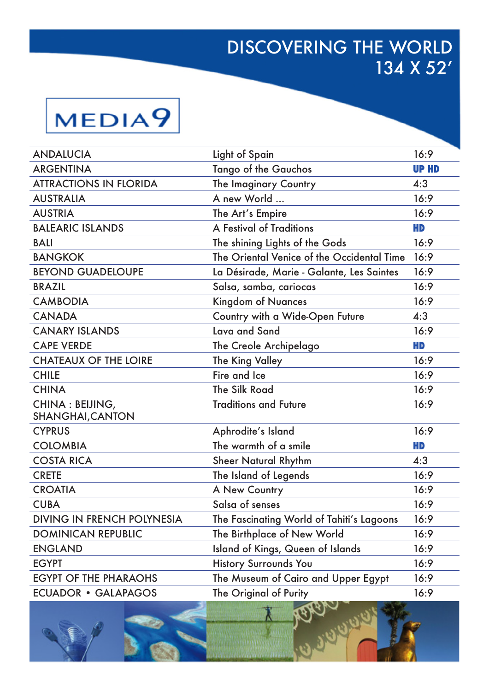

| <b>ANDALUCIA</b>                     | Light of Spain                             | 16:9         |
|--------------------------------------|--------------------------------------------|--------------|
| <b>ARGENTINA</b>                     | <b>Tango of the Gauchos</b>                | <b>UP HD</b> |
| <b>ATTRACTIONS IN FLORIDA</b>        | The Imaginary Country                      | 4:3          |
| <b>AUSTRALIA</b>                     | A new World                                | 16:9         |
| <b>AUSTRIA</b>                       | The Art's Empire                           | 16:9         |
| <b>BALEARIC ISLANDS</b>              | A Festival of Traditions                   | HD           |
| <b>BALI</b>                          | The shining Lights of the Gods             | 16:9         |
| <b>BANGKOK</b>                       | The Oriental Venice of the Occidental Time | 16:9         |
| <b>BEYOND GUADELOUPE</b>             | La Désirade, Marie - Galante, Les Saintes  | 16:9         |
| <b>BRAZIL</b>                        | Salsa, samba, cariocas                     | 16:9         |
| <b>CAMBODIA</b>                      | <b>Kingdom of Nuances</b>                  | 16:9         |
| <b>CANADA</b>                        | Country with a Wide-Open Future            | 4:3          |
| <b>CANARY ISLANDS</b>                | Lava and Sand                              | 16:9         |
| <b>CAPE VERDE</b>                    | The Creole Archipelago                     | HD           |
| <b>CHATEAUX OF THE LOIRE</b>         | The King Valley                            | 16:9         |
| <b>CHILE</b>                         | Fire and Ice                               | 16:9         |
| <b>CHINA</b>                         | The Silk Road                              | 16:9         |
| CHINA : BEIJING,<br>SHANGHAI, CANTON | <b>Traditions and Future</b>               | 16:9         |
| <b>CYPRUS</b>                        | Aphrodite's Island                         | 16:9         |
| <b>COLOMBIA</b>                      | The warmth of a smile                      | HD           |
| <b>COSTA RICA</b>                    | <b>Sheer Natural Rhythm</b>                | 4:3          |
| <b>CRETE</b>                         | The Island of Legends                      | 16:9         |
| <b>CROATIA</b>                       | A New Country                              | 16:9         |
| <b>CUBA</b>                          | Salsa of senses                            | 16:9         |
| <b>DIVING IN FRENCH POLYNESIA</b>    | The Fascinating World of Tahiti's Lagoons  | 16:9         |
| <b>DOMINICAN REPUBLIC</b>            | The Birthplace of New World                | 16:9         |
| <b>ENGLAND</b>                       | Island of Kings, Queen of Islands          | 16:9         |
| <b>EGYPT</b>                         | <b>History Surrounds You</b>               | 16:9         |
| <b>EGYPT OF THE PHARAOHS</b>         | The Museum of Cairo and Upper Egypt        | 16:9         |
| <b>ECUADOR • GALAPAGOS</b>           | The Original of Purity                     | 16:9         |

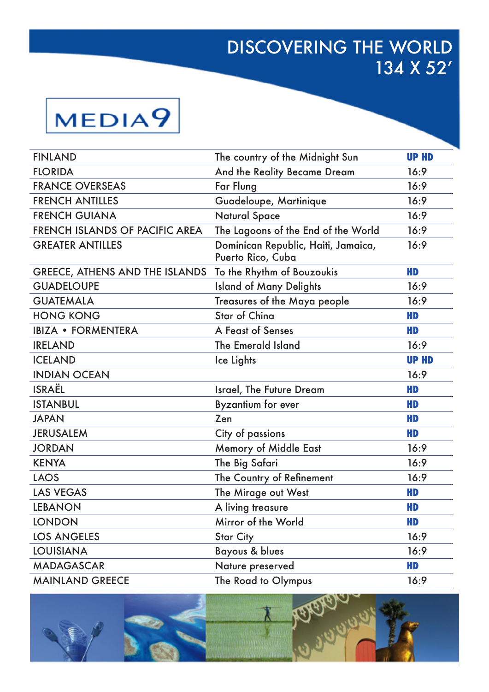

| <b>FINLAND</b>                        | The country of the Midnight Sun                          | <b>UP HD</b> |
|---------------------------------------|----------------------------------------------------------|--------------|
| <b>FLORIDA</b>                        | And the Reality Became Dream                             | 16:9         |
| <b>FRANCE OVERSEAS</b>                | <b>Far Flung</b>                                         | 16:9         |
| <b>FRENCH ANTILLES</b>                | Guadeloupe, Martinique                                   | 16:9         |
| <b>FRENCH GUIANA</b>                  | <b>Natural Space</b>                                     | 16:9         |
| FRENCH ISLANDS OF PACIFIC AREA        | The Lagoons of the End of the World                      | 16:9         |
| <b>GREATER ANTILLES</b>               | Dominican Republic, Haiti, Jamaica,<br>Puerto Rico, Cuba | 16:9         |
| <b>GREECE, ATHENS AND THE ISLANDS</b> | To the Rhythm of Bouzoukis                               | HD           |
| <b>GUADELOUPE</b>                     | <b>Island of Many Delights</b>                           | 16:9         |
| <b>GUATEMALA</b>                      | Treasures of the Maya people                             | 16:9         |
| <b>HONG KONG</b>                      | <b>Star of China</b>                                     | HD           |
| <b>IBIZA • FORMENTERA</b>             | A Feast of Senses                                        | HD           |
| <b>IRELAND</b>                        | The Emerald Island                                       | 16:9         |
| <b>ICELAND</b>                        | Ice Lights                                               | <b>UP HD</b> |
| <b>INDIAN OCEAN</b>                   |                                                          | 16:9         |
| <b>ISRAËL</b>                         | Israel, The Future Dream                                 | HD           |
| <b>ISTANBUL</b>                       | <b>Byzantium</b> for ever                                | HD           |
| <b>JAPAN</b>                          | Zen                                                      | HD           |
| <b>JERUSALEM</b>                      | City of passions                                         | HD           |
| <b>JORDAN</b>                         | <b>Memory of Middle East</b>                             | 16:9         |
| <b>KENYA</b>                          | The Big Safari                                           | 16:9         |
| <b>LAOS</b>                           | The Country of Refinement                                | 16:9         |
| <b>LAS VEGAS</b>                      | The Mirage out West                                      | HD           |
| <b>LEBANON</b>                        | A living treasure                                        | HD           |
| <b>LONDON</b>                         | Mirror of the World                                      | HD           |
| <b>LOS ANGELES</b>                    | <b>Star City</b>                                         | 16:9         |
| <b>LOUISIANA</b>                      | Bayous & blues                                           | 16:9         |
| <b>MADAGASCAR</b>                     | Nature preserved                                         | HD           |
| <b>MAINLAND GREECE</b>                | The Road to Olympus                                      | 16:9         |

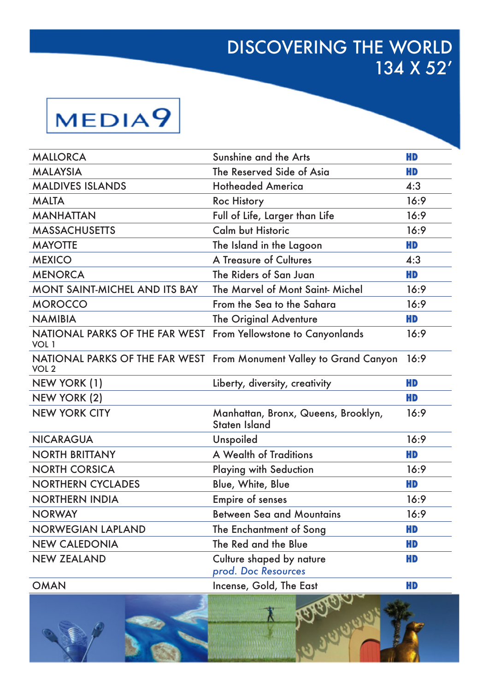

| <b>MALLORCA</b>                                                                    | Sunshine and the Arts                                               | HD         |
|------------------------------------------------------------------------------------|---------------------------------------------------------------------|------------|
| <b>MALAYSIA</b>                                                                    | The Reserved Side of Asia                                           | HD         |
| <b>MALDIVES ISLANDS</b>                                                            | <b>Hotheaded America</b>                                            | 4:3        |
| <b>MALTA</b>                                                                       | <b>Roc History</b>                                                  | 16:9       |
| <b>MANHATTAN</b>                                                                   | Full of Life, Larger than Life                                      | 16:9       |
| <b>MASSACHUSETTS</b>                                                               | <b>Calm but Historic</b>                                            | 16:9       |
| <b>MAYOTTE</b>                                                                     | The Island in the Lagoon                                            | HD         |
| <b>MEXICO</b>                                                                      | A Treasure of Cultures                                              | 4:3        |
| <b>MENORCA</b>                                                                     | The Riders of San Juan                                              | HD         |
| <b>MONT SAINT-MICHEL AND ITS BAY</b>                                               | The Marvel of Mont Saint-Michel                                     | 16:9       |
| <b>MOROCCO</b>                                                                     | From the Sea to the Sahara                                          | 16:9       |
| <b>NAMIBIA</b>                                                                     | The Original Adventure                                              | HD         |
| NATIONAL PARKS OF THE FAR WEST From Yellowstone to Canyonlands<br>VOL <sub>1</sub> |                                                                     | 16:9       |
| VOL <sub>2</sub>                                                                   | NATIONAL PARKS OF THE FAR WEST From Monument Valley to Grand Canyon | 16:9       |
| NEW YORK (1)                                                                       | Liberty, diversity, creativity                                      | HD         |
| NEW YORK (2)                                                                       |                                                                     | HD         |
| <b>NEW YORK CITY</b>                                                               | Manhattan, Bronx, Queens, Brooklyn,<br><b>Staten Island</b>         | 16:9       |
| <b>NICARAGUA</b>                                                                   | Unspoiled                                                           | 16:9       |
| <b>NORTH BRITTANY</b>                                                              | A Wealth of Traditions                                              | HD         |
| <b>NORTH CORSICA</b>                                                               | <b>Playing with Seduction</b>                                       | 16:9       |
| <b>NORTHERN CYCLADES</b>                                                           | Blue, White, Blue                                                   | HD         |
| <b>NORTHERN INDIA</b>                                                              | <b>Empire of senses</b>                                             | 16:9       |
| <b>NORWAY</b>                                                                      | <b>Between Sea and Mountains</b>                                    | 16:9       |
| NORWEGIAN LAPLAND                                                                  | The Enchantment of Song                                             | HD         |
| <b>NEW CALEDONIA</b>                                                               | The Red and the Blue                                                | HD         |
| <b>NEW ZEALAND</b>                                                                 | Culture shaped by nature<br>prod. Doc Resources                     | HD         |
|                                                                                    |                                                                     | <b>TER</b> |

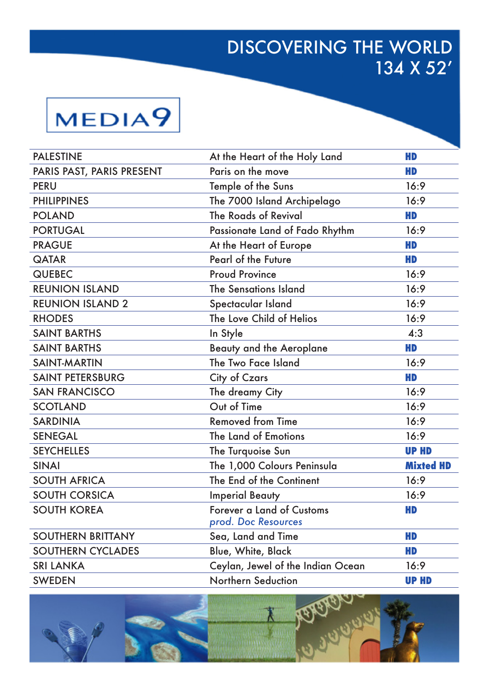

| <b>PALESTINE</b>          | At the Heart of the Holy Land     | HD               |
|---------------------------|-----------------------------------|------------------|
| PARIS PAST, PARIS PRESENT | Paris on the move                 | HD               |
| <b>PERU</b>               | Temple of the Suns                | 16:9             |
| <b>PHILIPPINES</b>        | The 7000 Island Archipelago       | 16:9             |
| <b>POLAND</b>             | The Roads of Revival              | HD               |
| <b>PORTUGAL</b>           | Passionate Land of Fado Rhythm    | 16:9             |
| <b>PRAGUE</b>             | At the Heart of Europe            | HD               |
| <b>QATAR</b>              | <b>Pearl of the Future</b>        | HD               |
| <b>QUEBEC</b>             | <b>Proud Province</b>             | 16:9             |
| <b>REUNION ISLAND</b>     | <b>The Sensations Island</b>      | 16:9             |
| <b>REUNION ISLAND 2</b>   | Spectacular Island                | 16:9             |
| <b>RHODES</b>             | The Love Child of Helios          | 16:9             |
| <b>SAINT BARTHS</b>       | In Style                          | 4:3              |
| <b>SAINT BARTHS</b>       | <b>Beauty and the Aeroplane</b>   | HD               |
| <b>SAINT-MARTIN</b>       | The Two Face Island               | 16:9             |
| <b>SAINT PETERSBURG</b>   | City of Czars                     | HD               |
| <b>SAN FRANCISCO</b>      | The dreamy City                   | 16:9             |
| <b>SCOTLAND</b>           | Out of Time                       | 16:9             |
| <b>SARDINIA</b>           | <b>Removed from Time</b>          | 16:9             |
| <b>SENEGAL</b>            | The Land of Emotions              | 16:9             |
| <b>SEYCHELLES</b>         | The Turquoise Sun                 | <b>UP HD</b>     |
| <b>SINAI</b>              | The 1,000 Colours Peninsula       | <b>Mixted HD</b> |
| <b>SOUTH AFRICA</b>       | The End of the Continent          | 16:9             |
| <b>SOUTH CORSICA</b>      | <b>Imperial Beauty</b>            | 16:9             |
| <b>SOUTH KOREA</b>        | Forever a Land of Customs         | HD               |
|                           | prod. Doc Resources               |                  |
| <b>SOUTHERN BRITTANY</b>  | Sea, Land and Time                | HD               |
| <b>SOUTHERN CYCLADES</b>  | <b>Blue, White, Black</b>         | HD               |
| <b>SRI LANKA</b>          | Ceylan, Jewel of the Indian Ocean | 16:9             |
| <b>SWEDEN</b>             | Northern Seduction                | <b>UP HD</b>     |